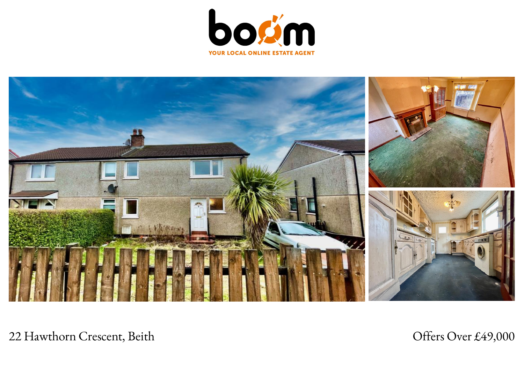



22 Hawthorn Crescent, Beith

Offers Over £49,000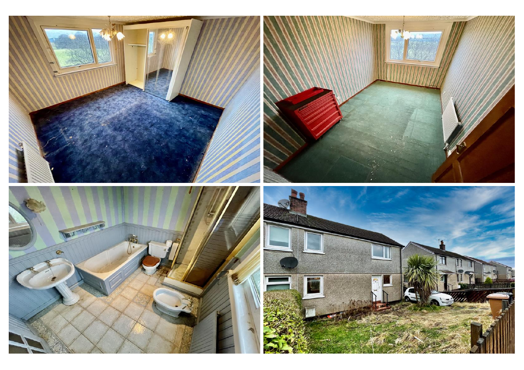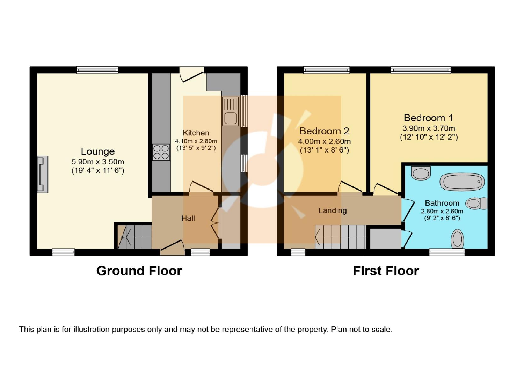

**Ground Floor** 

**First Floor** 

This plan is for illustration purposes only and may not be representative of the property. Plan not to scale.